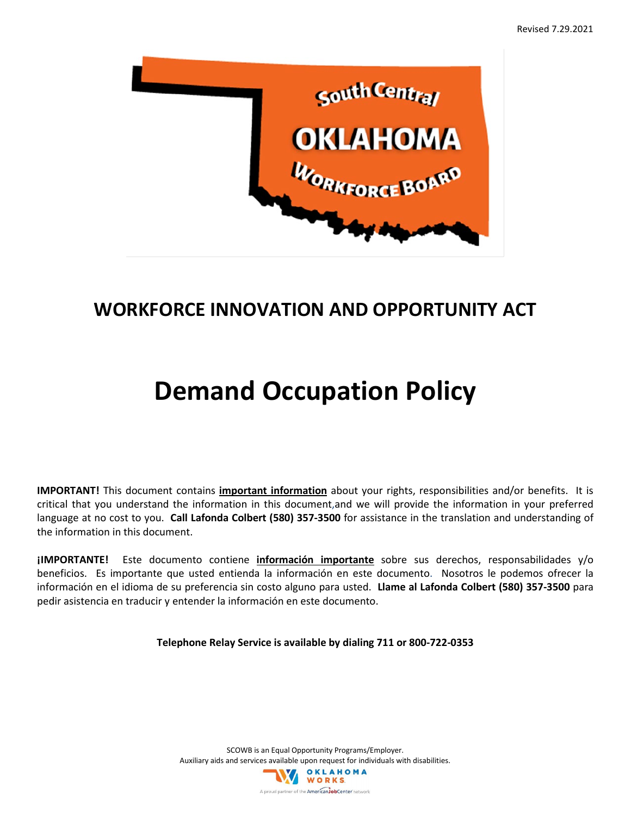

## **WORKFORCE INNOVATION AND OPPORTUNITY ACT**

## **Demand Occupation Policy**

**IMPORTANT!** This document contains **important information** about your rights, responsibilities and/or benefits. It is critical that you understand the information in this document,and we will provide the information in your preferred language at no cost to you. **Call Lafonda Colbert (580) 357-3500** for assistance in the translation and understanding of the information in this document.

**¡IMPORTANTE!** Este documento contiene **información importante** sobre sus derechos, responsabilidades y/o beneficios. Es importante que usted entienda la información en este documento. Nosotros le podemos ofrecer la información en el idioma de su preferencia sin costo alguno para usted. **Llame al Lafonda Colbert (580) 357-3500** para pedir asistencia en traducir y entender la información en este documento.

**Telephone Relay Service is available by dialing 711 or 800-722-0353**

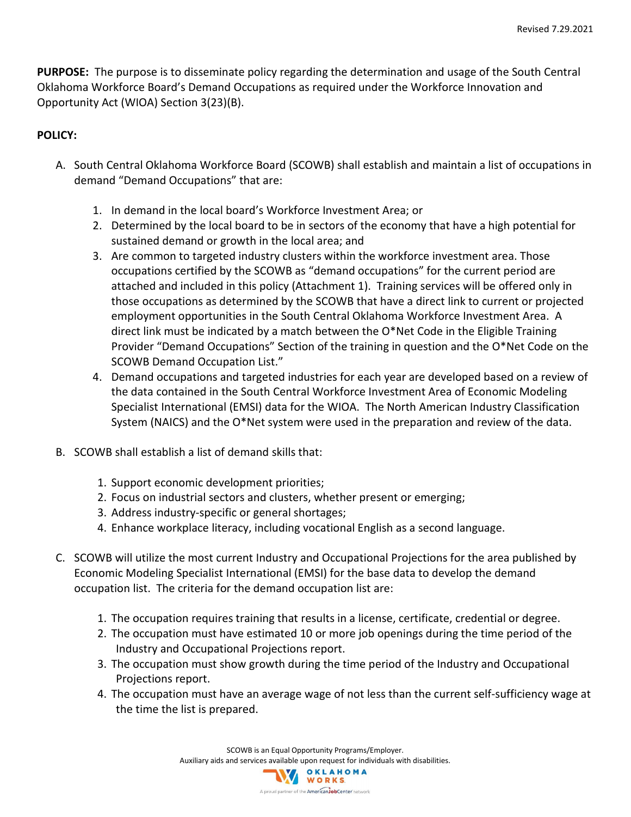**PURPOSE:** The purpose is to disseminate policy regarding the determination and usage of the South Central Oklahoma Workforce Board's Demand Occupations as required under the Workforce Innovation and Opportunity Act (WIOA) Section 3(23)(B).

## **POLICY:**

- A. South Central Oklahoma Workforce Board (SCOWB) shall establish and maintain a list of occupations in demand "Demand Occupations" that are:
	- 1. In demand in the local board's Workforce Investment Area; or
	- 2. Determined by the local board to be in sectors of the economy that have a high potential for sustained demand or growth in the local area; and
	- 3. Are common to targeted industry clusters within the workforce investment area. Those occupations certified by the SCOWB as "demand occupations" for the current period are attached and included in this policy (Attachment 1). Training services will be offered only in those occupations as determined by the SCOWB that have a direct link to current or projected employment opportunities in the South Central Oklahoma Workforce Investment Area. A direct link must be indicated by a match between the O\*Net Code in the Eligible Training Provider "Demand Occupations" Section of the training in question and the O\*Net Code on the SCOWB Demand Occupation List."
	- 4. Demand occupations and targeted industries for each year are developed based on a review of the data contained in the South Central Workforce Investment Area of Economic Modeling Specialist International (EMSI) data for the WIOA. The North American Industry Classification System (NAICS) and the O\*Net system were used in the preparation and review of the data.
- B. SCOWB shall establish a list of demand skills that:
	- 1. Support economic development priorities;
	- 2. Focus on industrial sectors and clusters, whether present or emerging;
	- 3. Address industry-specific or general shortages;
	- 4. Enhance workplace literacy, including vocational English as a second language.
- C. SCOWB will utilize the most current Industry and Occupational Projections for the area published by Economic Modeling Specialist International (EMSI) for the base data to develop the demand occupation list. The criteria for the demand occupation list are:
	- 1. The occupation requires training that results in a license, certificate, credential or degree.
	- 2. The occupation must have estimated 10 or more job openings during the time period of the Industry and Occupational Projections report.
	- 3. The occupation must show growth during the time period of the Industry and Occupational Projections report.
	- 4. The occupation must have an average wage of not less than the current self-sufficiency wage at the time the list is prepared.